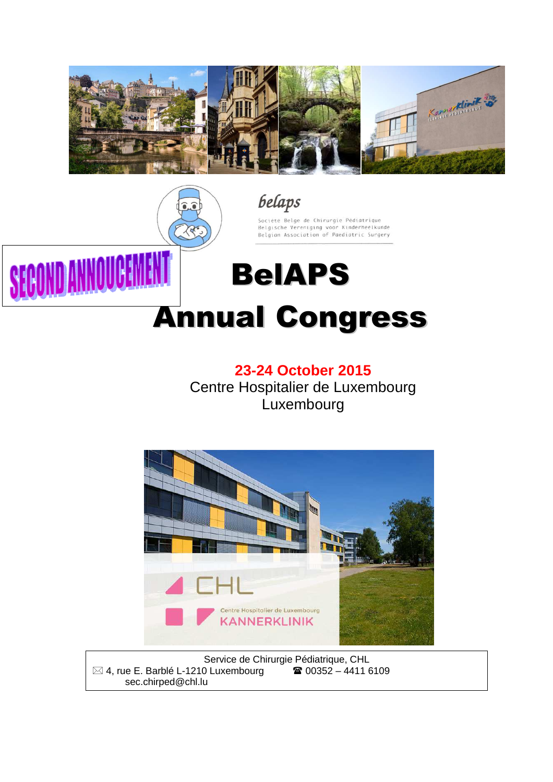



## **23-24 October 2015**

Centre Hospitalier de Luxembourg Luxembourg



Service de Chirurgie Pédiatrique, CHL  $\boxtimes$  4, rue E. Barblé L-1210 Luxembourg  $\textcircled{3}$  00352 – 4411 6109 sec.chirped@chl.lu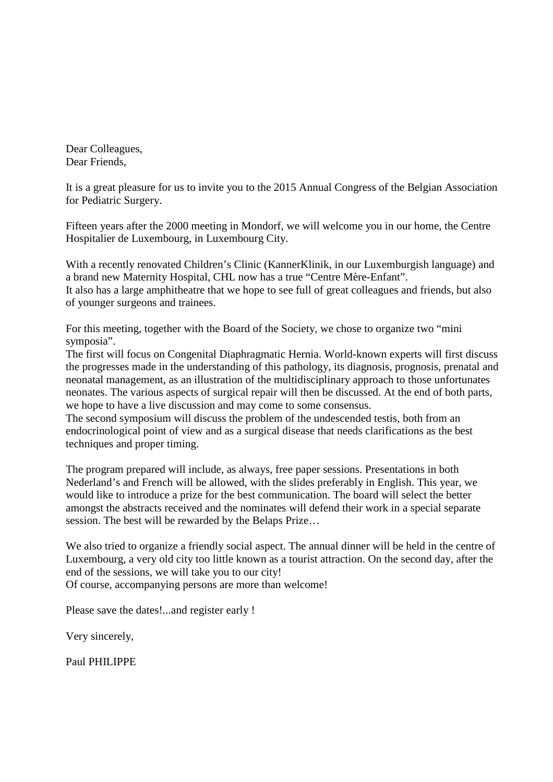Dear Colleagues, Dear Friends,

It is a great pleasure for us to invite you to the 2015 Annual Congress of the Belgian Association for Pediatric Surgery.

Fifteen years after the 2000 meeting in Mondorf, we will welcome you in our home, the Centre Hospitalier de Luxembourg, in Luxembourg City.

With a recently renovated Children's Clinic (KannerKlinik, in our Luxemburgish language) and a brand new Maternity Hospital, CHL now has a true "Centre Mère-Enfant". It also has a large amphitheatre that we hope to see full of great colleagues and friends, but also of younger surgeons and trainees.

For this meeting, together with the Board of the Society, we chose to organize two "mini symposia".

The first will focus on Congenital Diaphragmatic Hernia. World-known experts will first discuss the progresses made in the understanding of this pathology, its diagnosis, prognosis, prenatal and neonatal management, as an illustration of the multidisciplinary approach to those unfortunates neonates. The various aspects of surgical repair will then be discussed. At the end of both parts, we hope to have a live discussion and may come to some consensus.

The second symposium will discuss the problem of the undescended testis, both from an endocrinological point of view and as a surgical disease that needs clarifications as the best techniques and proper timing.

The program prepared will include, as always, free paper sessions. Presentations in both Nederland's and French will be allowed, with the slides preferably in English. This year, we would like to introduce a prize for the best communication. The board will select the better amongst the abstracts received and the nominates will defend their work in a special separate session. The best will be rewarded by the Belaps Prize…

We also tried to organize a friendly social aspect. The annual dinner will be held in the centre of Luxembourg, a very old city too little known as a tourist attraction. On the second day, after the end of the sessions, we will take you to our city! Of course, accompanying persons are more than welcome!

Please save the dates!...and register early !

Very sincerely,

Paul PHILIPPE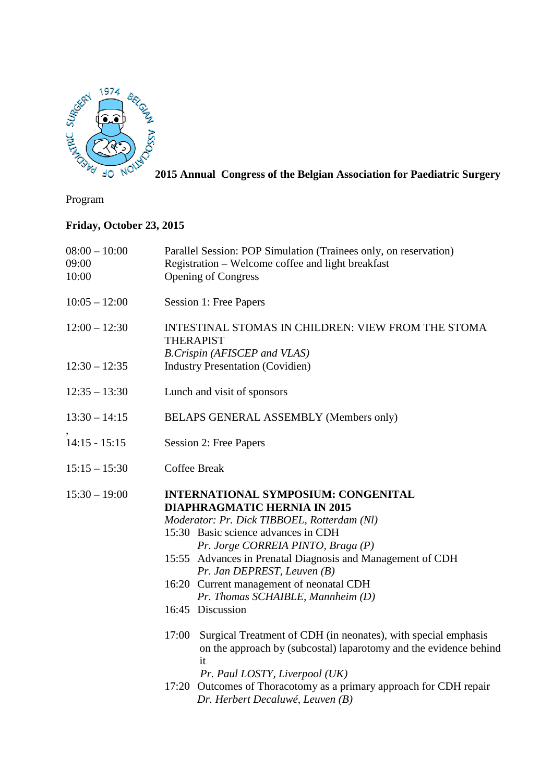

**2015 Annual Congress of the Belgian Association for Paediatric Surgery**

Program

## **Friday, October 23, 2015**

| $08:00 - 10:00$<br>09:00<br>10:00 | Parallel Session: POP Simulation (Trainees only, on reservation)<br>Registration – Welcome coffee and light breakfast<br><b>Opening of Congress</b>                                                                                                                                                                                                                                                                                                                                                                                                                                                                                                                    |
|-----------------------------------|------------------------------------------------------------------------------------------------------------------------------------------------------------------------------------------------------------------------------------------------------------------------------------------------------------------------------------------------------------------------------------------------------------------------------------------------------------------------------------------------------------------------------------------------------------------------------------------------------------------------------------------------------------------------|
| $10:05 - 12:00$                   | Session 1: Free Papers                                                                                                                                                                                                                                                                                                                                                                                                                                                                                                                                                                                                                                                 |
| $12:00 - 12:30$                   | INTESTINAL STOMAS IN CHILDREN: VIEW FROM THE STOMA<br><b>THERAPIST</b><br>B.Crispin (AFISCEP and VLAS)                                                                                                                                                                                                                                                                                                                                                                                                                                                                                                                                                                 |
| $12:30 - 12:35$                   | <b>Industry Presentation (Covidien)</b>                                                                                                                                                                                                                                                                                                                                                                                                                                                                                                                                                                                                                                |
| $12:35 - 13:30$                   | Lunch and visit of sponsors                                                                                                                                                                                                                                                                                                                                                                                                                                                                                                                                                                                                                                            |
| $13:30 - 14:15$                   | BELAPS GENERAL ASSEMBLY (Members only)                                                                                                                                                                                                                                                                                                                                                                                                                                                                                                                                                                                                                                 |
| $14:15 - 15:15$                   | Session 2: Free Papers                                                                                                                                                                                                                                                                                                                                                                                                                                                                                                                                                                                                                                                 |
| $15:15 - 15:30$                   | <b>Coffee Break</b>                                                                                                                                                                                                                                                                                                                                                                                                                                                                                                                                                                                                                                                    |
| $15:30 - 19:00$                   | INTERNATIONAL SYMPOSIUM: CONGENITAL<br><b>DIAPHRAGMATIC HERNIA IN 2015</b><br>Moderator: Pr. Dick TIBBOEL, Rotterdam (Nl)<br>15:30 Basic science advances in CDH<br>Pr. Jorge CORREIA PINTO, Braga (P)<br>15:55 Advances in Prenatal Diagnosis and Management of CDH<br>Pr. Jan DEPREST, Leuven (B)<br>16:20 Current management of neonatal CDH<br>Pr. Thomas SCHAIBLE, Mannheim (D)<br>16:45 Discussion<br>Surgical Treatment of CDH (in neonates), with special emphasis<br>17:00<br>on the approach by (subcostal) laparotomy and the evidence behind<br>it<br>Pr. Paul LOSTY, Liverpool (UK)<br>17:20 Outcomes of Thoracotomy as a primary approach for CDH repair |
|                                   | Dr. Herbert Decaluwé, Leuven (B)                                                                                                                                                                                                                                                                                                                                                                                                                                                                                                                                                                                                                                       |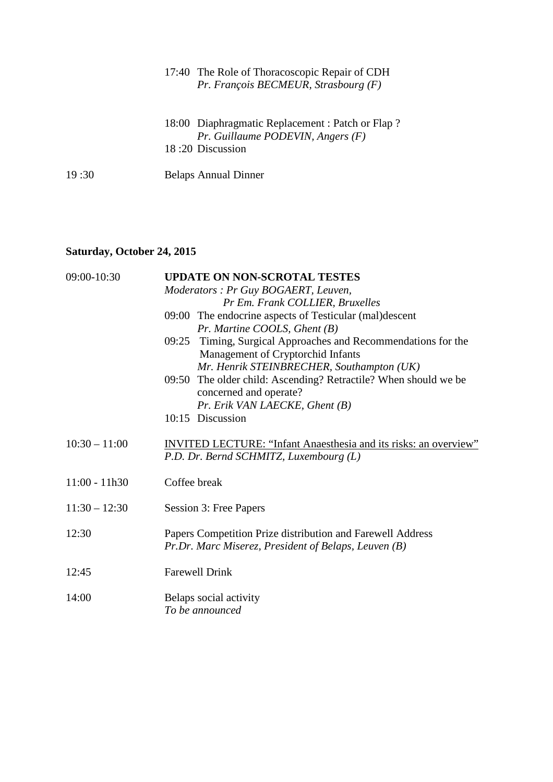|       | 17:40 The Role of Thoracoscopic Repair of CDH<br>Pr. François BECMEUR, Strasbourg $(F)$                       |
|-------|---------------------------------------------------------------------------------------------------------------|
|       | 18:00 Diaphragmatic Replacement : Patch or Flap?<br>$Pr.$ Guillaume PODEVIN, Angers $(F)$<br>18:20 Discussion |
| 19:30 | <b>Belaps Annual Dinner</b>                                                                                   |

## **Saturday, October 24, 2015**

| 09:00-10:30     | <b>UPDATE ON NON-SCROTAL TESTES</b>                                                                                |
|-----------------|--------------------------------------------------------------------------------------------------------------------|
|                 | Moderators : Pr Guy BOGAERT, Leuven,                                                                               |
|                 | Pr Em. Frank COLLIER, Bruxelles                                                                                    |
|                 | 09:00 The endocrine aspects of Testicular (mal)descent                                                             |
|                 | Pr. Martine COOLS, Ghent $(B)$                                                                                     |
|                 | 09:25 Timing, Surgical Approaches and Recommendations for the                                                      |
|                 | Management of Cryptorchid Infants                                                                                  |
|                 | Mr. Henrik STEINBRECHER, Southampton (UK)                                                                          |
|                 | 09:50 The older child: Ascending? Retractile? When should we be<br>concerned and operate?                          |
|                 | Pr. Erik VAN LAECKE, Ghent (B)                                                                                     |
|                 | 10:15 Discussion                                                                                                   |
| $10:30 - 11:00$ | <b>INVITED LECTURE: "Infant Anaesthesia and its risks: an overview"</b><br>P.D. Dr. Bernd SCHMITZ, Luxembourg (L)  |
| $11:00 - 11h30$ | Coffee break                                                                                                       |
| $11:30 - 12:30$ | Session 3: Free Papers                                                                                             |
| 12:30           | Papers Competition Prize distribution and Farewell Address<br>Pr.Dr. Marc Miserez, President of Belaps, Leuven (B) |
| 12:45           | <b>Farewell Drink</b>                                                                                              |
| 14:00           | Belaps social activity<br>To be announced                                                                          |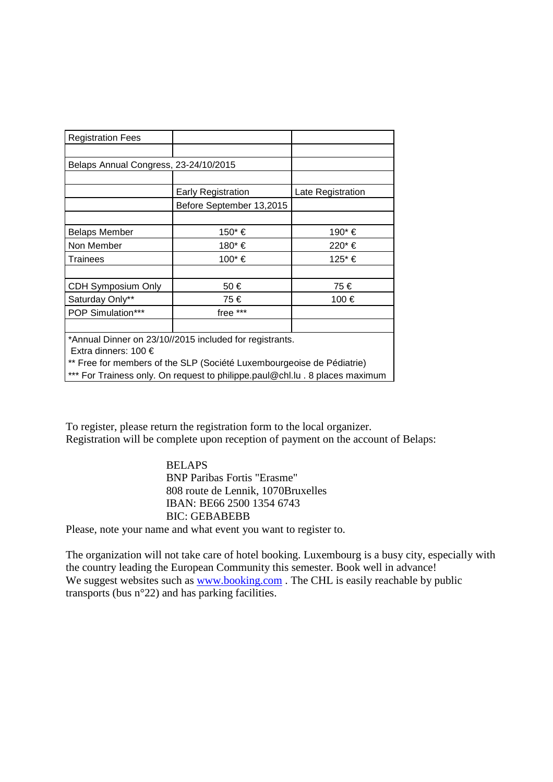| <b>Registration Fees</b>                                |                           |                   |  |  |  |
|---------------------------------------------------------|---------------------------|-------------------|--|--|--|
|                                                         |                           |                   |  |  |  |
| Belaps Annual Congress, 23-24/10/2015                   |                           |                   |  |  |  |
|                                                         |                           |                   |  |  |  |
|                                                         | <b>Early Registration</b> | Late Registration |  |  |  |
|                                                         | Before September 13,2015  |                   |  |  |  |
|                                                         |                           |                   |  |  |  |
| <b>Belaps Member</b>                                    | 150* €                    | 190* €            |  |  |  |
| Non Member                                              | 180* €                    | 220* €            |  |  |  |
| Trainees                                                | 100* €                    | 125* €            |  |  |  |
|                                                         |                           |                   |  |  |  |
| CDH Symposium Only                                      | 50€                       | 75€               |  |  |  |
| Saturday Only**                                         | 75€                       | 100 €             |  |  |  |
| <b>POP Simulation***</b>                                | free ***                  |                   |  |  |  |
|                                                         |                           |                   |  |  |  |
| *Annual Dinner on 23/10//2015 included for registrants. |                           |                   |  |  |  |

Extra dinners: 100 €

\*\* Free for members of the SLP (Société Luxembourgeoise de Pédiatrie)

\*\*\* For Trainess only. On request to philippe.paul@chl.lu . 8 places maximum

To register, please return the registration form to the local organizer. Registration will be complete upon reception of payment on the account of Belaps:

> **BELAPS** BNP Paribas Fortis "Erasme" 808 route de Lennik, 1070Bruxelles IBAN: BE66 2500 1354 6743 BIC: GEBABEBB

Please, note your name and what event you want to register to.

The organization will not take care of hotel booking. Luxembourg is a busy city, especially with the country leading the European Community this semester. Book well in advance! We suggest websites such as www.booking.com. The CHL is easily reachable by public transports (bus n°22) and has parking facilities.